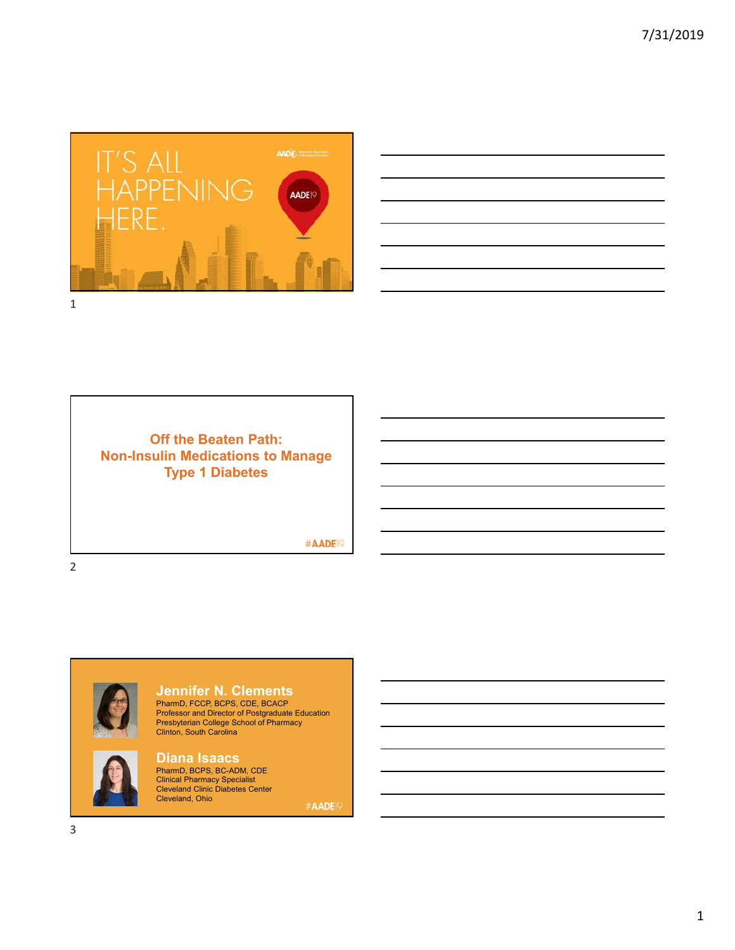



**Off the Beaten Path: Non-Insulin Medications to Manage Type 1 Diabetes**

#AADE<sup>19</sup>



**Jennifer N. Clements**

PharmD, FCCP, BCPS, CDE, BCACP Professor and Director of Postgraduate Education Presbyterian College School of Pharmacy Clinton, South Carolina



**Diana Isaacs** PharmD, BCPS, BC-ADM, CDE Clinical Pharmacy Specialist Cleveland Clinic Diabetes Center Cleveland, Ohio

#AADE<sup>19</sup>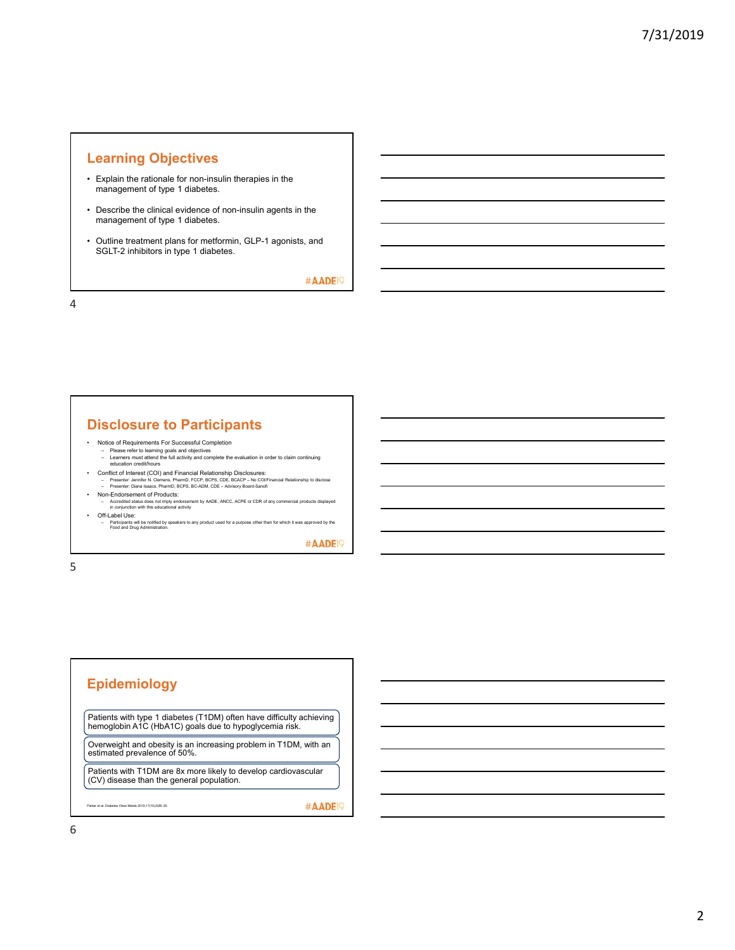#### **Learning Objectives**

- Explain the rationale for non-insulin therapies in the management of type 1 diabetes.
- Describe the clinical evidence of non-insulin agents in the management of type 1 diabetes.
- Outline treatment plans for metformin, GLP-1 agonists, and SGLT-2 inhibitors in type 1 diabetes.

#AADE<sup>19</sup>

4

#### **Disclosure to Participants**

- Notice of Requirements For Successful Completion
	- Please refer to learning goals and objectives Learners must attend the full activity and complete the evaluation in order to claim continuing education credit/hours
- Conflict of Interest (COI) and Financial Relationship Disclosures:<br>- Presenter: Jennier N. Clemens, PharmD, FCOP, BCPS, CDE, BCACP No COlFinancial Relationship to disclose<br>- Presenter: Diana Isaacs, PharmD, BCPS, BC-AD
- Non-Endorsement of Products:
- Accredited status does not imply endorsement by AADE, ANCC, ACPE or CDR of any commercial products displayed in conjunction with this educational activity • Off-Label Use:
- Participants will be notified by speakers to any product used for a purpose other than for which it was approved by the Food and Drug Administration.

#AADE<sup>19</sup>

5

#### **Epidemiology**

Patients with type 1 diabetes (T1DM) often have difficulty achieving hemoglobin A1C (HbA1C) goals due to hypoglycemia risk.

Overweight and obesity is an increasing problem in T1DM, with an estimated prevalence of 50%.

Patients with T1DM are 8x more likely to develop cardiovascular (CV) disease than the general population.

Pieber et al. Diabetes Obes Metab 2015;17(10):928–35.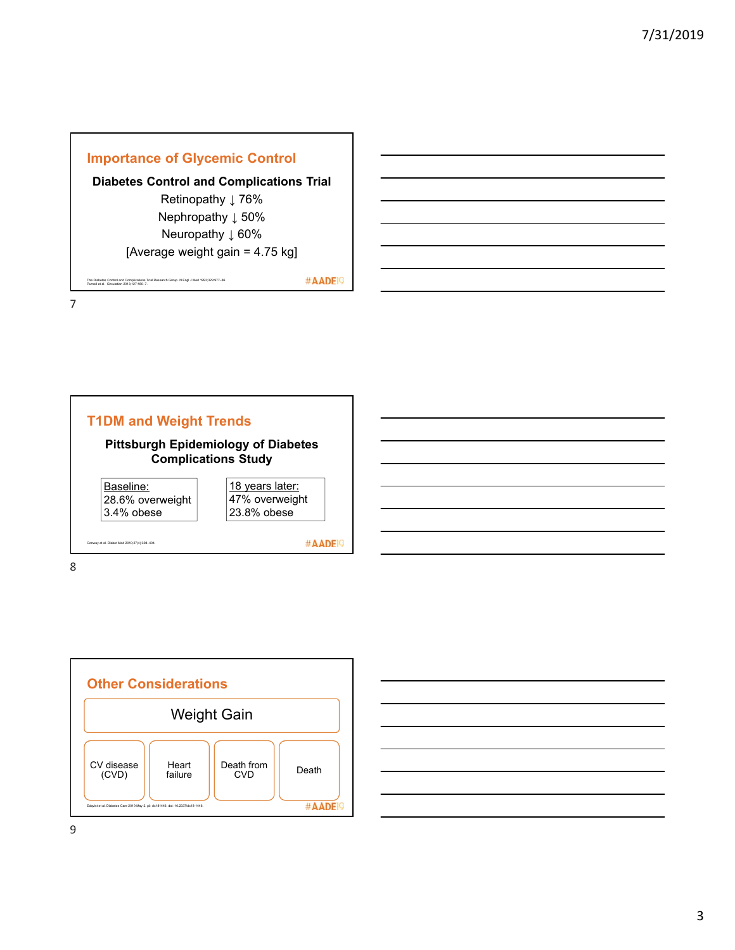

The Diabetes Control and Complications Trial Research Group. N Engl J Med 1993;329:977–86. Purnell et al. Circulation 2013;127:180–7.

#AADE<sup>19</sup>

7



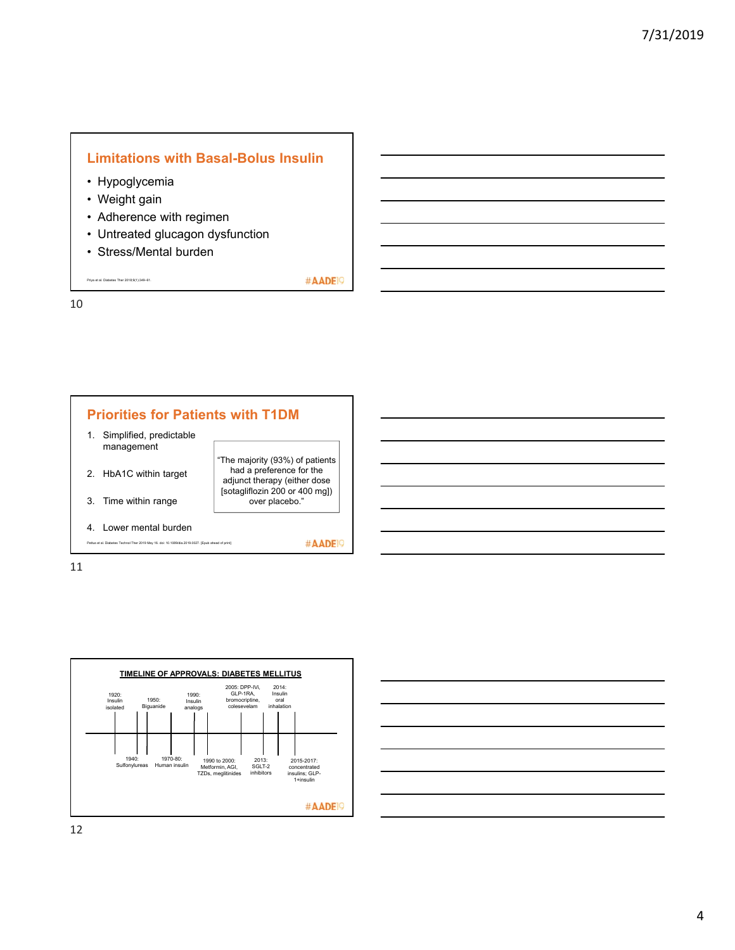#### **Limitations with Basal-Bolus Insulin**

#AADE<sup>19</sup>

- Hypoglycemia
- Weight gain
- Adherence with regimen
- Untreated glucagon dysfunction
- Stress/Mental burden

Priya et al. Diabetes Ther 2018;9(1):349–61.

10





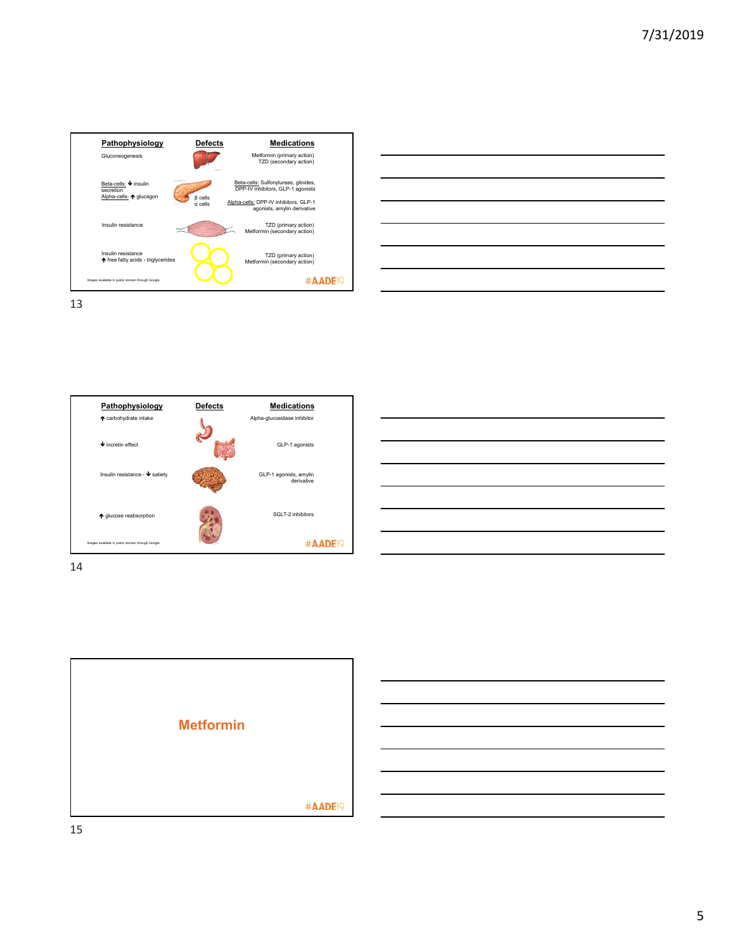





| _____                                                                                                                                                                                               |  |
|-----------------------------------------------------------------------------------------------------------------------------------------------------------------------------------------------------|--|
|                                                                                                                                                                                                     |  |
| $\sim$ $\sim$ $\sim$ $\sim$<br>,我们也不会有一个人的事情。""我们的人们,我们也不会有一个人的人,我们也不会有一个人的人,我们也不会有一个人的人,我们也不会有一个人的人,我们也不会有一个人的<br>第一百一十一章 我们的人,我们的人们的人们,我们的人们的人们,我们的人们的人们,我们的人们的人们,我们的人们的人们,我们的人们的人们,我们的人们的人们,我们的人 |  |
|                                                                                                                                                                                                     |  |
|                                                                                                                                                                                                     |  |
|                                                                                                                                                                                                     |  |
|                                                                                                                                                                                                     |  |



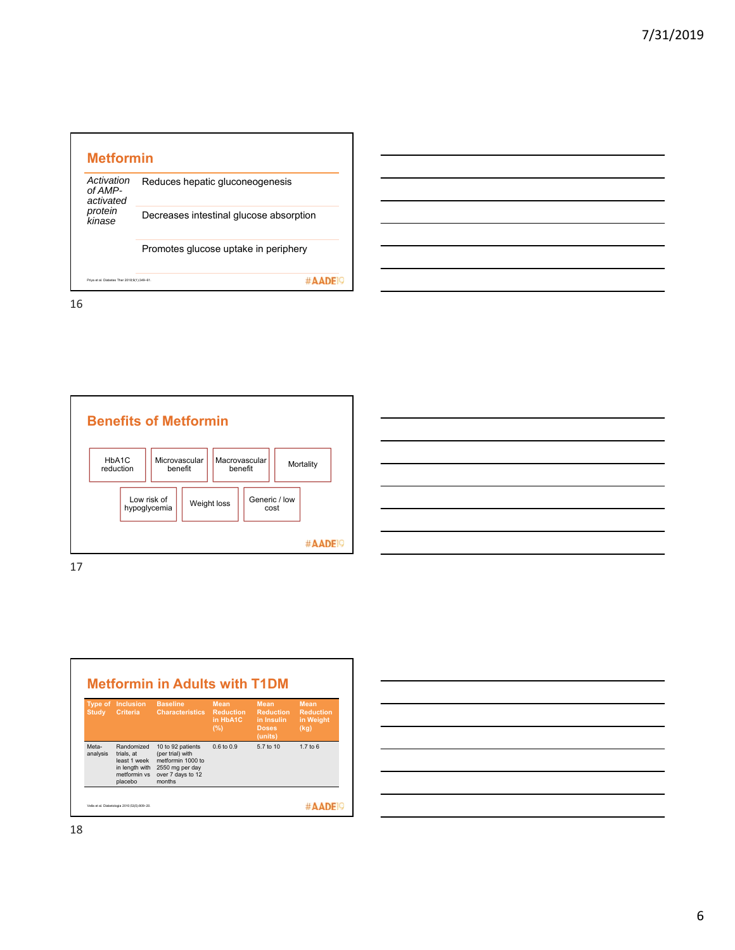



| Type of<br><b>Study</b> | <b>Inclusion</b><br>Criteria                                                          | <b>Baseline</b><br><b>Characteristics</b>                                                                    | <b>Mean</b><br><b>Reduction</b><br>in HbA1C<br>(%) | <b>Mean</b><br><b>Reduction</b><br>in Insulin<br><b>Doses</b><br>(units) | <b>Mean</b><br><b>Reduction</b><br>in Weight<br>(kq) |
|-------------------------|---------------------------------------------------------------------------------------|--------------------------------------------------------------------------------------------------------------|----------------------------------------------------|--------------------------------------------------------------------------|------------------------------------------------------|
| Meta-<br>analysis       | Randomized<br>trials, at<br>least 1 week<br>in length with<br>metformin vs<br>placebo | 10 to 92 patients<br>(per trial) with<br>metformin 1000 to<br>2550 mg per day<br>over 7 days to 12<br>months | $0.6$ to $0.9$                                     | 5.7 to 10                                                                | $1.7$ to $6$                                         |

18

Г

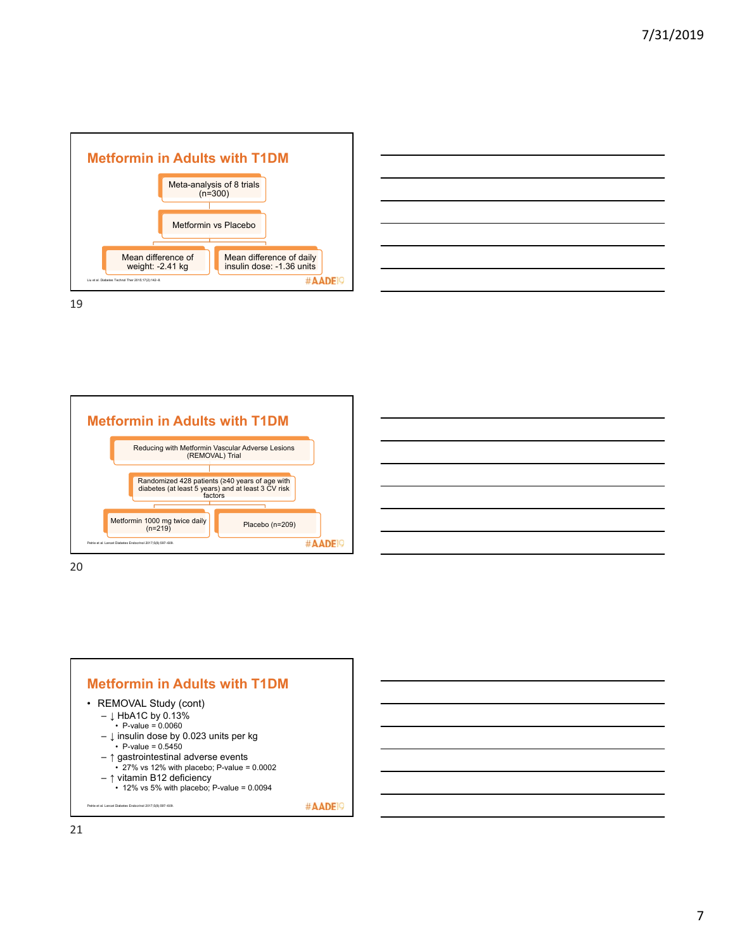





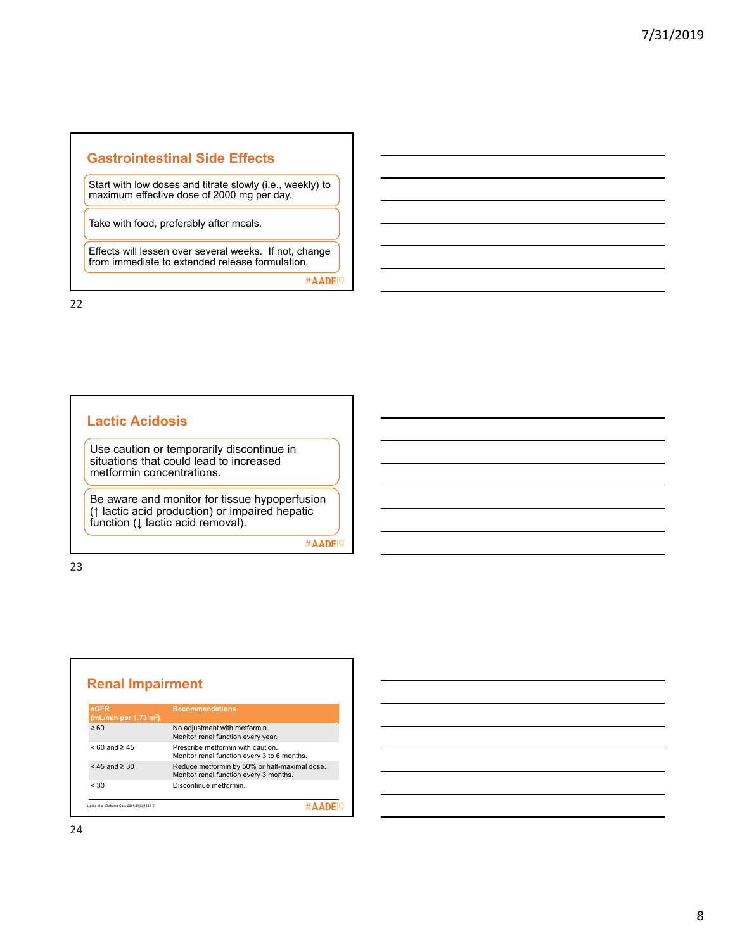#### **Gastrointestinal Side Effects**

Start with low doses and titrate slowly (i.e., weekly) to maximum effective dose of 2000 mg per day.

Take with food, preferably after meals.

Effects will lessen over several weeks. If not, change from immediate to extended release formulation.

#AADE<sup>19</sup>

22

#### **Lactic Acidosis**

Use caution or temporarily discontinue in situations that could lead to increased metformin concentrations.

Be aware and monitor for tissue hypoperfusion (↑ lactic acid production) or impaired hepatic function (↓ lactic acid removal).

#AADE<sup>19</sup>

| eGFR<br>(mL/min per 1.73 m <sup>2</sup> ) | <b>Recommendations</b>                                                                  |
|-------------------------------------------|-----------------------------------------------------------------------------------------|
| $\geq 60$                                 | No adjustment with metformin.<br>Monitor renal function every year.                     |
| $< 60$ and $\ge 45$                       | Prescribe metformin with caution<br>Monitor renal function every 3 to 6 months.         |
| $<$ 45 and $\geq$ 30                      | Reduce metformin by 50% or half-maximal dose.<br>Monitor renal function every 3 months. |
| < 30                                      | Discontinue metformin                                                                   |

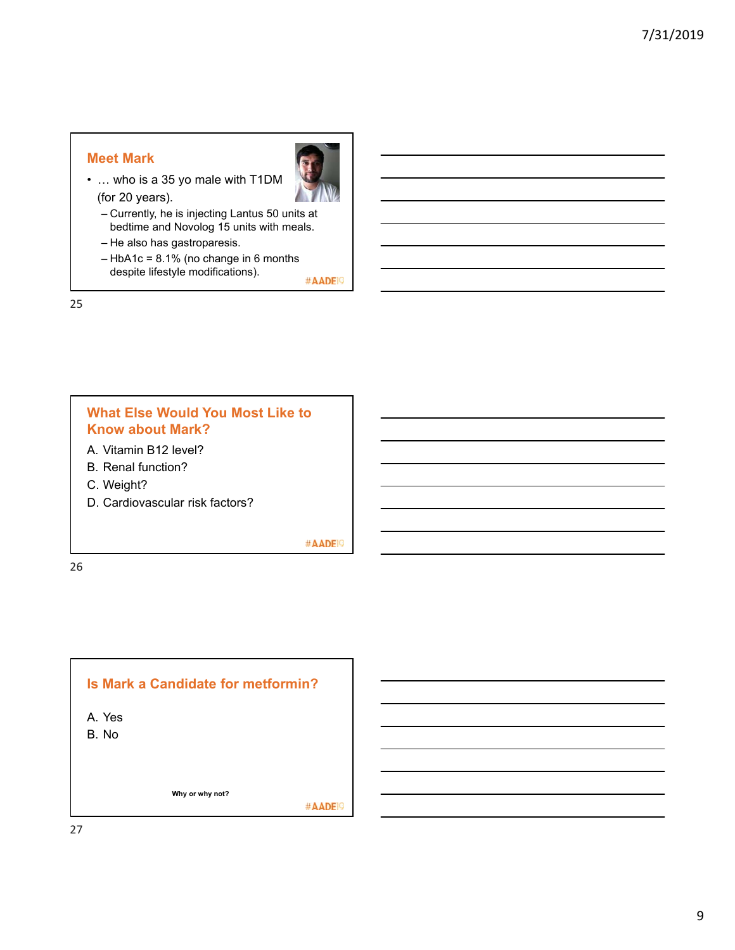#### **Meet Mark**



- … who is a 35 yo male with T1DM (for 20 years).
	- Currently, he is injecting Lantus 50 units at bedtime and Novolog 15 units with meals.
	- He also has gastroparesis.
	- HbA1c = 8.1% (no change in 6 months despite lifestyle modifications). #AADE<sup>19</sup>

25

#### **What Else Would You Most Like to Know about Mark?**

- A. Vitamin B12 level?
- B. Renal function?
- C. Weight?
- D. Cardiovascular risk factors?

#AADE<sup>19</sup>

26

## **Is Mark a Candidate for metformin?**  A. Yes B. No **Why or why not?**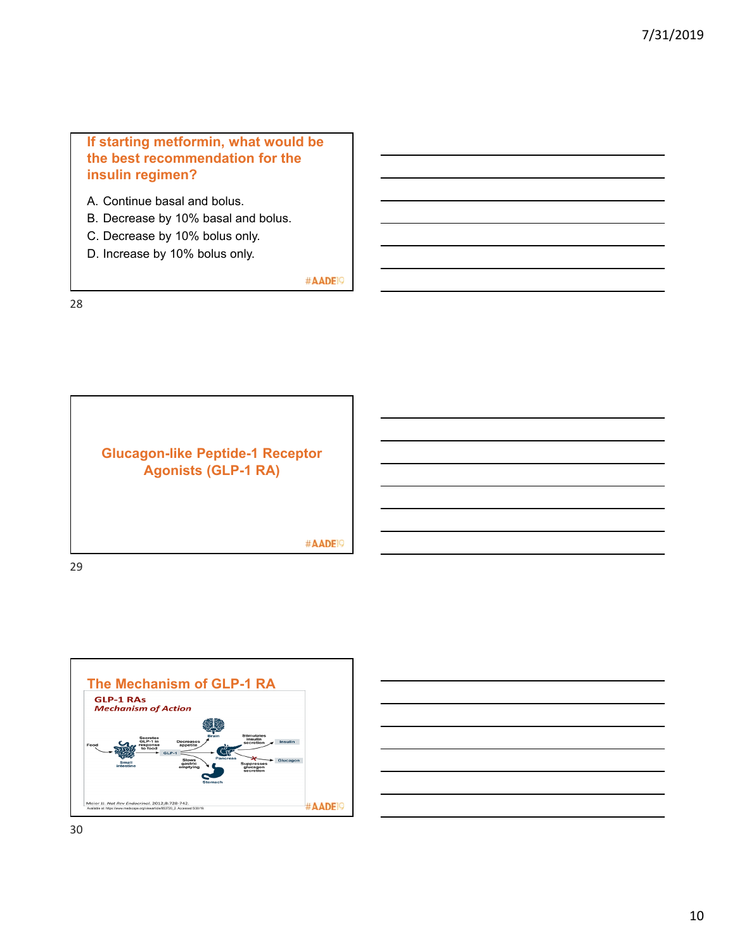#### **If starting metformin, what would be the best recommendation for the insulin regimen?**

- A. Continue basal and bolus.
- B. Decrease by 10% basal and bolus.
- C. Decrease by 10% bolus only.
- D. Increase by 10% bolus only.

#AADE<sup>19</sup>

28





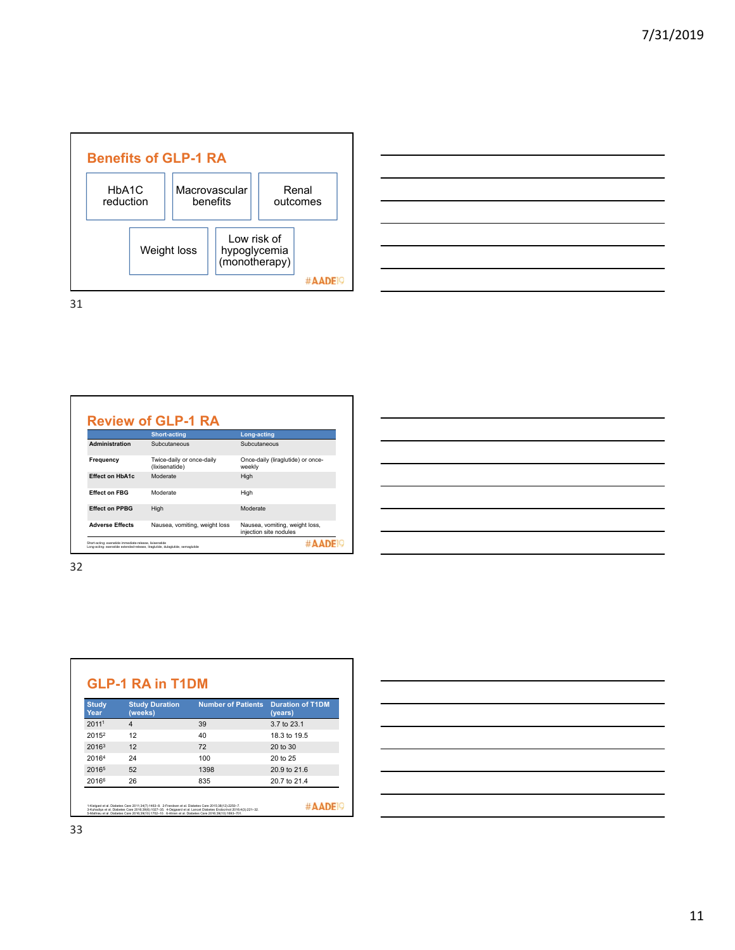



|                        | <b>Short-acting</b>                         | Long-acting                                              |
|------------------------|---------------------------------------------|----------------------------------------------------------|
| Administration         | Subcutaneous                                | Subcutaneous                                             |
| Frequency              | Twice-daily or once-daily<br>(lixisenatide) | Once-daily (liraglutide) or once-<br>weekly              |
| <b>Effect on HbA1c</b> | Moderate                                    | High                                                     |
| <b>Effect on FBG</b>   | Moderate                                    | High                                                     |
| <b>Effect on PPBG</b>  | High                                        | Moderate                                                 |
| <b>Adverse Effects</b> | Nausea, vomiting, weight loss               | Nausea, vomiting, weight loss,<br>injection site nodules |

| <u> 1980 - Johann Barnett, fransk politiker (</u>           |  |  |
|-------------------------------------------------------------|--|--|
|                                                             |  |  |
| $\overline{\phantom{a}}$                                    |  |  |
|                                                             |  |  |
| <u> 1989 - Johann Stoff, amerikansk politiker (d. 1989)</u> |  |  |
|                                                             |  |  |
|                                                             |  |  |
|                                                             |  |  |

| <b>Study</b><br>Year | <b>Study Duration</b><br>(weeks) | <b>Number of Patients</b> | <b>Duration of T1DM</b><br>(years) |
|----------------------|----------------------------------|---------------------------|------------------------------------|
| 2011 <sup>1</sup>    | $\boldsymbol{\Delta}$            | 39                        | 3.7 to 23.1                        |
| 2015 <sup>2</sup>    | 12                               | 40                        | 18.3 to 19.5                       |
| 20163                | 12                               | 72                        | 20 to 30                           |
| 20164                | 24                               | 100                       | 20 to 25                           |
| 20165                | 52                               | 1398                      | 20.9 to 21.6                       |
| 20166                | 26                               | 835                       | 20.7 to 21.4                       |

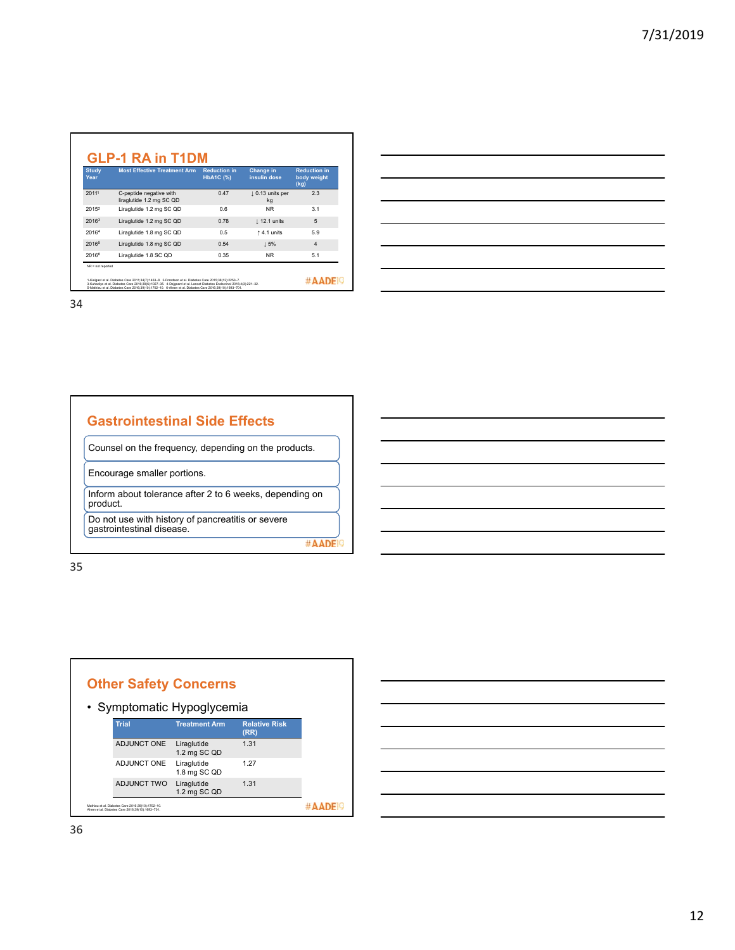| <b>Study</b><br>Year | <b>Most Effective Treatment Arm</b>                 | <b>Reduction in</b><br><b>HbA1C (%)</b> | Change in<br>insulin dose    | <b>Reduction in</b><br>body weight<br>(kg) |
|----------------------|-----------------------------------------------------|-----------------------------------------|------------------------------|--------------------------------------------|
| 2011 <sup>1</sup>    | C-peptide negative with<br>liraglutide 1.2 mg SC QD | 0.47                                    | $\perp$ 0.13 units per<br>kg | 2.3                                        |
| 20152                | Liraglutide 1.2 mg SC QD                            | 0.6                                     | <b>NR</b>                    | 3.1                                        |
| 2016 <sup>3</sup>    | Liraglutide 1.2 mg SC QD                            | 0.78                                    | $\perp$ 12.1 units           | 5                                          |
| 20164                | Liraglutide 1.8 mg SC QD                            | 0.5                                     | 14.1 units                   | 5.9                                        |
| 2016 <sup>5</sup>    | Liraglutide 1.8 mg SC QD                            | 0.54                                    | 15%                          | $\overline{4}$                             |
| 20166                | Liraglutide 1.8 SC QD                               | 0.35                                    | <b>NR</b>                    | 5.1                                        |

#### **Gastrointestinal Side Effects**

Counsel on the frequency, depending on the products.

Encourage smaller portions.

Inform about tolerance after 2 to 6 weeks, depending on product.

Do not use with history of pancreatitis or severe gastrointestinal disease.

#AADE<sup>19</sup>



| <u> 1989 - Johann Harry Harry Harry Harry Harry Harry Harry Harry Harry Harry Harry Harry Harry Harry Harry Harry</u> |  |  |
|-----------------------------------------------------------------------------------------------------------------------|--|--|
| <u> 1989 - Andrea Andrew Maria (h. 1989).</u>                                                                         |  |  |
| <u> 1989 - Andrea Andrew Maria (h. 1989).</u>                                                                         |  |  |
|                                                                                                                       |  |  |
| <u> 1989 - Andrea Andrew Maria (h. 1989).</u>                                                                         |  |  |
|                                                                                                                       |  |  |
|                                                                                                                       |  |  |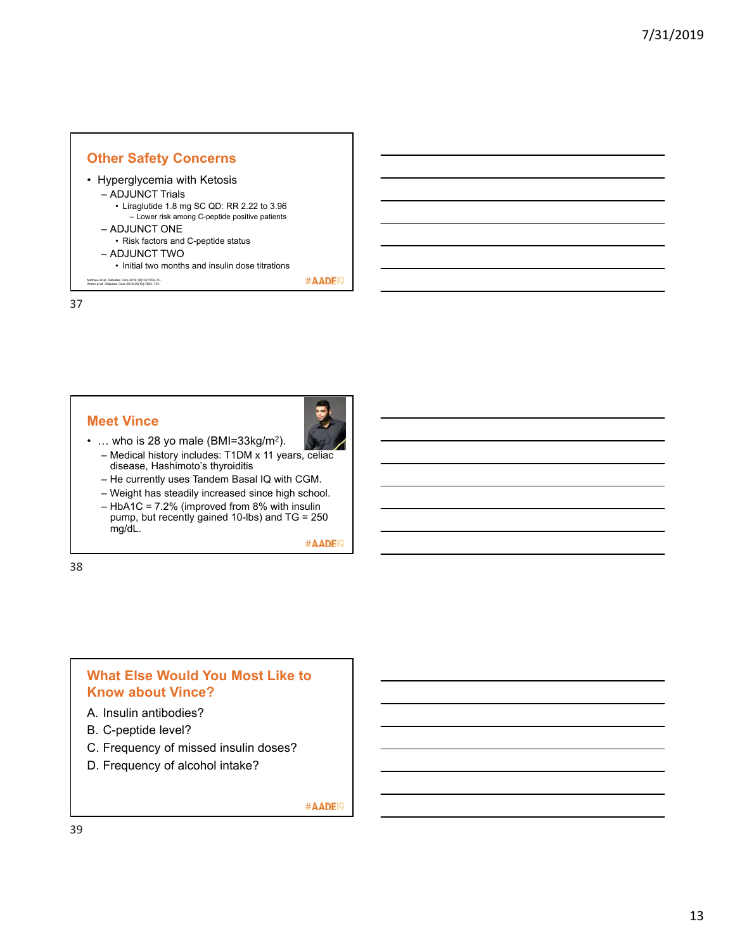

#### **Meet Vince**



- ... who is 28 yo male (BMI=33kg/m<sup>2</sup>). – Medical history includes: T1DM x 11 years, celiac disease, Hashimoto's thyroiditis
	- He currently uses Tandem Basal IQ with CGM.
	- Weight has steadily increased since high school.
	- HbA1C = 7.2% (improved from 8% with insulin pump, but recently gained 10-lbs) and TG = 250 mg/dL.

#AADE<sup>19</sup>

38

#### **What Else Would You Most Like to Know about Vince?**

- A. Insulin antibodies?
- B. C-peptide level?
- C. Frequency of missed insulin doses?
- D. Frequency of alcohol intake?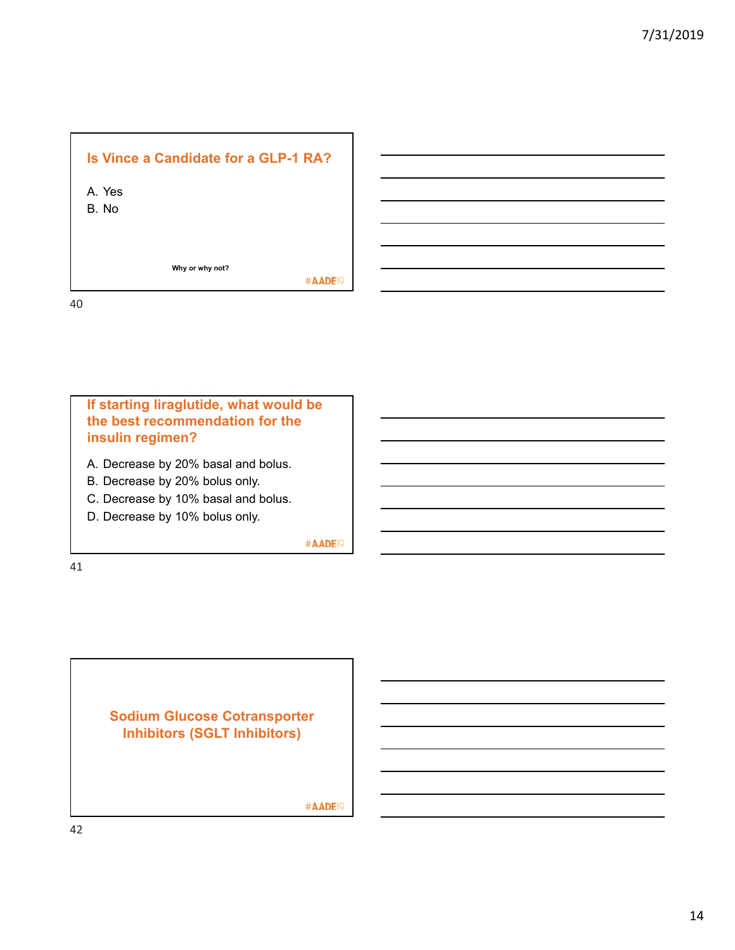# **Is Vince a Candidate for a GLP-1 RA?**  A. Yes B. No

**Why or why not?** 

#AADE<sup>19</sup>

40



41

**Sodium Glucose Cotransporter Inhibitors (SGLT Inhibitors)**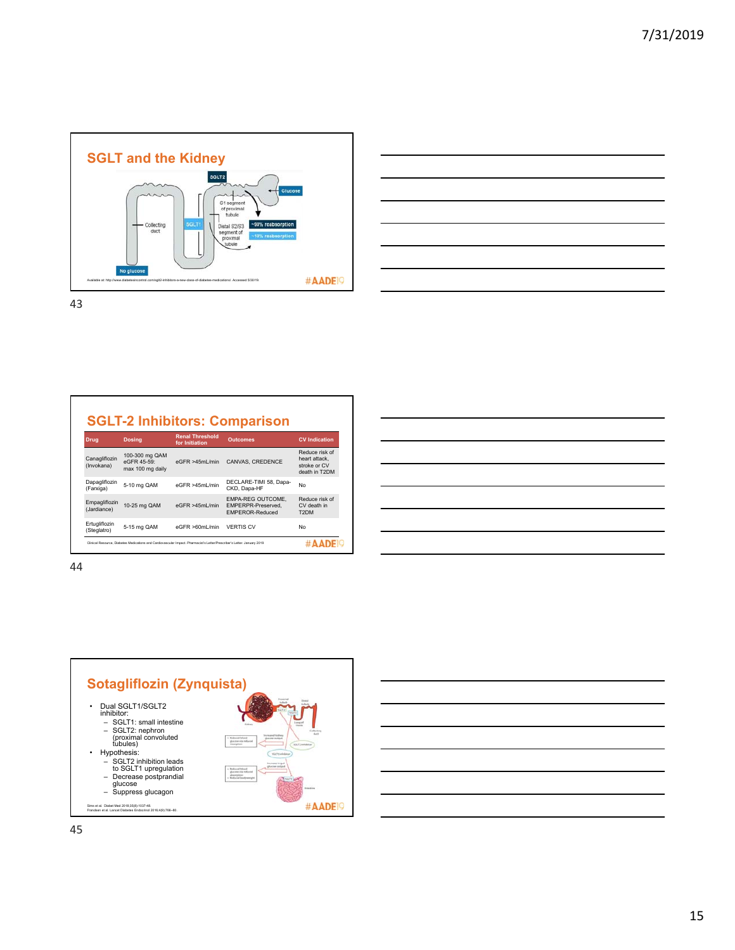



#### **SGLT-2 Inhibitors: Comparison**

| <b>Drug</b>                  | <b>Dosing</b>                                     | <b>Renal Threshold</b><br>for Initiation                                                                                 | <b>Outcomes</b>                                            | <b>CV</b> Indication                                             |
|------------------------------|---------------------------------------------------|--------------------------------------------------------------------------------------------------------------------------|------------------------------------------------------------|------------------------------------------------------------------|
| Canagliflozin<br>(Invokana)  | 100-300 mg QAM<br>eGFR 45-59:<br>max 100 mg daily | eGFR > 45ml/min                                                                                                          | CANVAS, CREDENCE                                           | Reduce risk of<br>heart attack.<br>stroke or CV<br>death in T2DM |
| Dapagliflozin<br>(Farxiga)   | 5-10 mg QAM                                       | eGFR >45ml /min                                                                                                          | DECLARE-TIMI 58, Dapa-<br>CKD. Dapa-HF                     | No                                                               |
| Empagliflozin<br>(Jardiance) | 10-25 mg QAM                                      | eGFR > 45ml/min                                                                                                          | EMPA-REG OUTCOME.<br>EMPERPR-Preserved.<br>FMPFROR-Reduced | Reduce risk of<br>CV death in<br>T <sub>2</sub> DM               |
| Ertugliflozin<br>(Steglatro) | 5-15 mg QAM                                       | eGFR >60mL/min                                                                                                           | <b>VERTIS CV</b>                                           | No                                                               |
|                              |                                                   | Clinical Resource, Diabetes Medications and Cardiovascular Impact, Pharmacist's Letter/Prescriber's Letter, January 2019 |                                                            |                                                                  |

|                                                           |  | <u> 2000 - Andrea Andrew Amerikaanse kommunister († 18</u>                                                            |
|-----------------------------------------------------------|--|-----------------------------------------------------------------------------------------------------------------------|
|                                                           |  | <u> 1989 - Johann Barn, amerikan bernama di sebagai bernama dan bernama di sebagai bernama dalam bernama dalam b</u>  |
|                                                           |  | <u> 2002 - Jan Barbara de Santo Antonio de Santo de Santo de Santo de Santo de Santo de Santo de Santo de Santo d</u> |
|                                                           |  | <u> 1989 - Johann Barn, amerikansk politiker (d. 1989)</u>                                                            |
|                                                           |  | <u> 2002 - Jan Barbara de San Barbara de San Barbara de San Barbara de San Barbara de San Barbara de San Barbara </u> |
| <u> 1989 - Andrea Stadt Britain, amerikansk politik (</u> |  | the contract of the contract of                                                                                       |
|                                                           |  |                                                                                                                       |

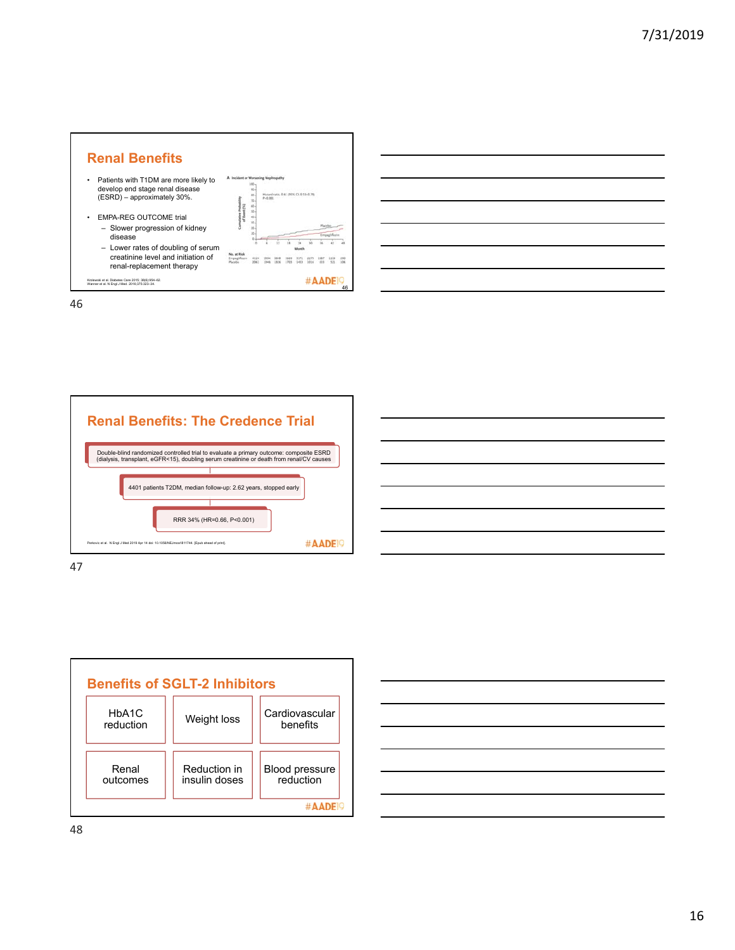









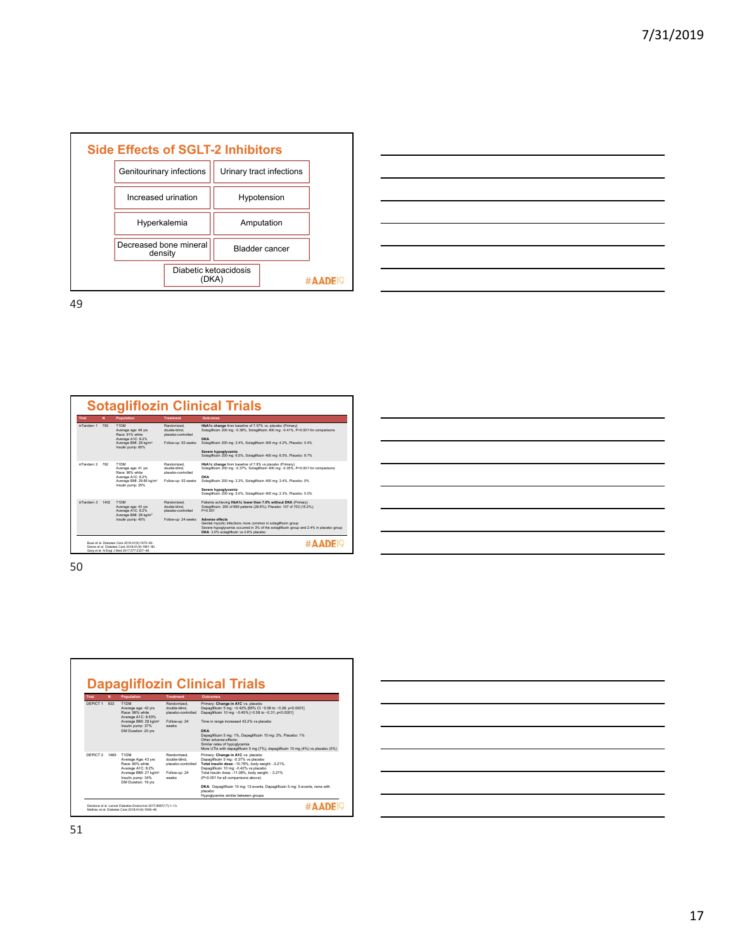



| Trial      | N    | Population                                                                                                                       | Treatment                                                                | Quicomes                                                                                                                                                                                                                                                                                                                                                                               |
|------------|------|----------------------------------------------------------------------------------------------------------------------------------|--------------------------------------------------------------------------|----------------------------------------------------------------------------------------------------------------------------------------------------------------------------------------------------------------------------------------------------------------------------------------------------------------------------------------------------------------------------------------|
| inTandem 1 | 793  | T1DM<br>Average age: 46 yrs<br>Race: 91% white<br>Average A1C: 8.2%<br>Average BMI: 29 kg/m <sup>2</sup><br>Insulin pump: 60%    | Randomized<br>double-blind<br>placebo-controlled<br>Follow-up: 52 weeks  | HbA1c change from baseline of 7.57% vs. placebo (Primary)<br>Sotagliflozin 200 mg: - 0.36%, Sotagliflozin 400 mg: -0.41%, P<0.001 for comparisons<br>DKA<br>Sotagliflozin 200 mg: 3.4%. Sotagliflozin 400 mg: 4.2%. Placebo: 0.4%<br>Severe hypoglycemia<br>Sotagliflozin 200 mg: 6.5%. Sotagliflozin 400 mg: 6.5%. Placebo: 9.7%                                                      |
| inTandem 2 | 782  | T1DM<br>Average age: 41 yrs<br>Race: 96% white<br>Average A1C: 8.2%<br>Average BMI: 29.66 kg/m <sup>2</sup><br>Insulin pump: 25% | Randomized<br>double-blind.<br>placebo-controlled<br>Follow-up: 52 weeks | HbA1c change from baseline of 7.8% vs placebo (Primary)<br>Sotagliflozin 200 mg: -0.37%. Sotagliflozin 400 mg: -0.35%. P<0.001 for comparisons<br>DKA<br>Sotagliflozin 200 mg; 2.3%. Sotagliflozin 400 mg; 3.4%. Placebo: 0%<br>Severe hypoglycemia<br>Sotagliflozin 200 mg: 5.0%. Sotagliflozin 400 mg: 2.3%. Placebo: 5.0%                                                           |
| inTandem 3 | 1402 | T1DM<br>Average age: 43 yrs<br>Average A1C: 8.2%<br>Average BMI: 28 kg/m <sup>2</sup><br>Insulin pump: 40%                       | Randomized<br>double-blind.<br>placebo-controlled<br>Follow-up: 24 weeks | Patients achieving HbA1c lower than 7.0% without DKA (Primary)<br>Sotagliflozin: 200 of 699 patients (28.6%), Placebo: 107 of 703 (15.2%).<br>P < 0.001<br><b>Adverse effects</b><br>Genital mycotic infections more common in sotagiflozin group<br>Severe hypoglycemia occurred in 3% of the sotaglificzin group and 2.4% in placebo group<br>DKA 3.0% sotaglificzin vs 0.6% placebo |

| <u> 1989 - Andrea Branden, amerikansk politik (d. 1989)</u> |  |  |
|-------------------------------------------------------------|--|--|
|                                                             |  |  |
|                                                             |  |  |
|                                                             |  |  |



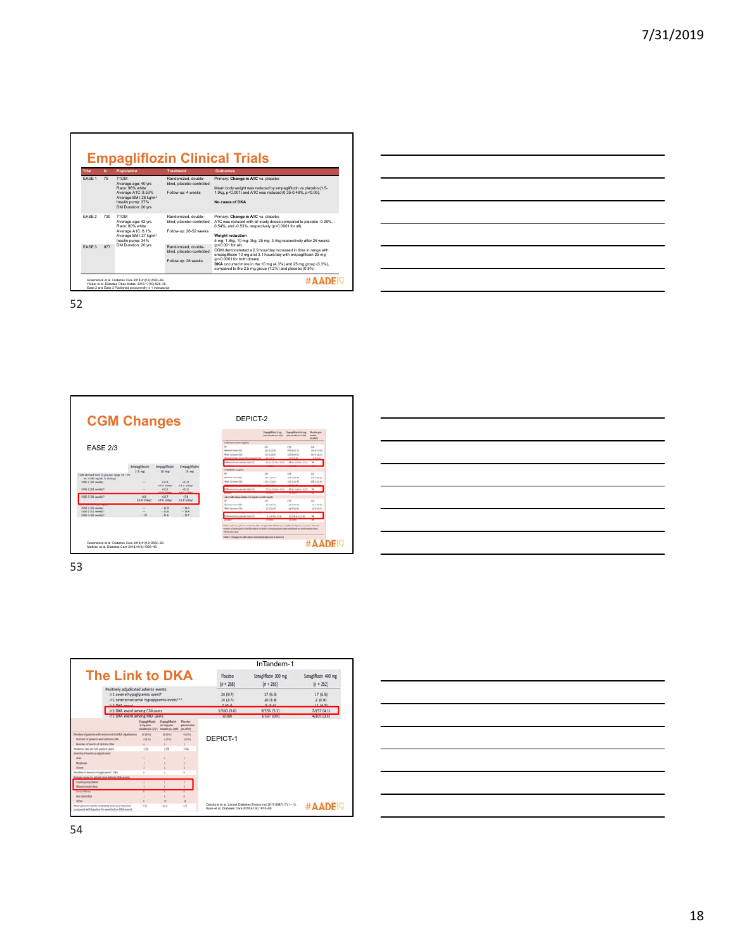| Trial             | N   | <b>Population</b>                                                                                                                                     | <b>Treatment</b>                                                          | <b>Outcomes</b>                                                                                                                                                                                                                                                                                                  |
|-------------------|-----|-------------------------------------------------------------------------------------------------------------------------------------------------------|---------------------------------------------------------------------------|------------------------------------------------------------------------------------------------------------------------------------------------------------------------------------------------------------------------------------------------------------------------------------------------------------------|
| FASE <sub>1</sub> | 75  | T1DM<br>Average age: 40 yrs<br>Race: 96% white<br>Average A1C: 8.53%<br>Average BMI: 28 kg/m <sup>2</sup><br>Insulin pump: 37%<br>DM Duration: 20 yrs | Randomized, double-<br>blind, placebo-controlled<br>Follow-up: 4 weeks    | Primary: Change in A1C vs. placebo<br>Mean body weight was reduced by empaglificzin vs placebo (1.5-<br>1.9kg, p<0.001) and A1C was reduced (0.35-0.49%, p<0.05).<br>No cases of DKA                                                                                                                             |
| FASE <sub>2</sub> | 730 | T1DM<br>Average age: 42 yrs<br>Race: 80% white<br>Average A1C: 8.1%<br>Average BMI: 27 kg/m <sup>2</sup><br>Insulin pump: 34%<br>DM Duration: 20 yrs  | Randomized double-<br>blind, placebo-controlled<br>Follow-up: 26-52 weeks | Primary: Change in A1C vs. placebo<br>A1C was reduced with all study doses compared to placebo -0.28%. -<br>0.54%, and -0.53%, respectively (p<0.0001 for all).<br><b>Weight reduction</b><br>5 mg: 1.8kg, 10 mg: 3kg, 25 mg: 3.4kg respectively after 26 weeks                                                  |
| FASE 3            | 977 |                                                                                                                                                       | Randomized, double-<br>blind, placebo-controlled<br>Follow-up: 26 weeks   | (p<0.001 for all).<br>CGM demonstrated a 2.9 hour/day increased in time in range with<br>empagliflozin 10 mg and 3.1 hours/day with empagliflozin 25 mg<br>(p<0.0001 for both doses).<br>DKA occurred more in the 10 mg (4.3%) and 25 mg group (3.3%),<br>compared to the 2.5 mg group (1.2%) and placebo (0.8%) |

| the control of the control of the control of the control of the control of the control of the control of the control of the control of the control of the control of the control of the control of the control of the control |                                                                                                                        |  |  |
|-------------------------------------------------------------------------------------------------------------------------------------------------------------------------------------------------------------------------------|------------------------------------------------------------------------------------------------------------------------|--|--|
|                                                                                                                                                                                                                               |                                                                                                                        |  |  |
|                                                                                                                                                                                                                               | <u> 1989 - Johann Stoff, deutscher Stoffen und der Stoffen und der Stoffen und der Stoffen und der Stoffen und der</u> |  |  |
|                                                                                                                                                                                                                               |                                                                                                                        |  |  |
|                                                                                                                                                                                                                               |                                                                                                                        |  |  |
|                                                                                                                                                                                                                               |                                                                                                                        |  |  |
|                                                                                                                                                                                                                               |                                                                                                                        |  |  |
|                                                                                                                                                                                                                               |                                                                                                                        |  |  |
| the contract of the contract of the contract of                                                                                                                                                                               |                                                                                                                        |  |  |
|                                                                                                                                                                                                                               |                                                                                                                        |  |  |

 $\overline{\phantom{a}}$ 

52



| <u>  La construcción de la construcción de la construcción de la construcción de la construcción de la construcció</u> |  |  |  |
|------------------------------------------------------------------------------------------------------------------------|--|--|--|
|                                                                                                                        |  |  |  |
| <u>  La componenta de la componenta de la componenta de la componenta de la componenta de la componenta de la co</u>   |  |  |  |
|                                                                                                                        |  |  |  |
|                                                                                                                        |  |  |  |



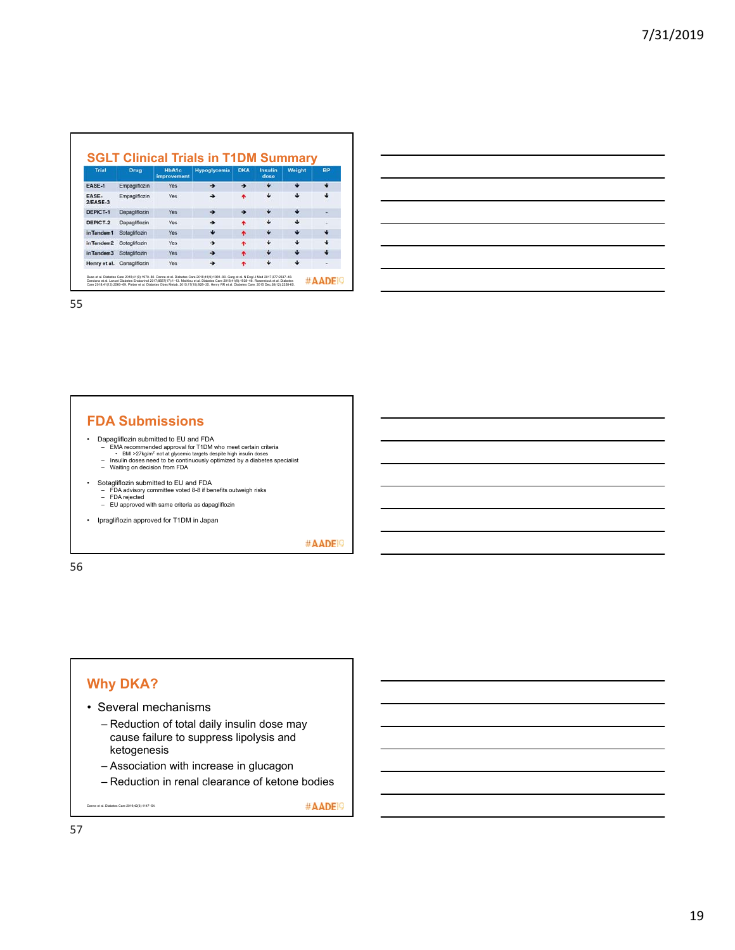| <b>Trial</b>               | <b>Drug</b>                | <b>HbA1c</b><br>improvement | <b>Hypoglycemia</b> | <b>DKA</b> | <b>Insulin</b><br>dose | Weight | <b>BP</b> |
|----------------------------|----------------------------|-----------------------------|---------------------|------------|------------------------|--------|-----------|
| EASE-1                     | Empagliflozin              | Yes.                        | ٠                   | →          | J                      | J.     |           |
| <b>EASE-</b><br>$2/EASE-3$ | Empaglifiozin              | <b>Yes</b>                  |                     |            |                        | J.     |           |
| DEPICT-1                   | Dapagliflozin              | Yes                         |                     | →          |                        | J      |           |
| DEPICT-2                   | Dapagliflozin              | <b>Yes</b>                  | →                   | ۰          | ىك                     | ىك     | ۰         |
| in Tandem1                 | Sotagliflozin              | Yes                         | J.                  | ۰          |                        | J.     |           |
| in Tandem <sub>2</sub>     | Sotagliflozin              | Yes                         | →                   |            | ىك                     | a.     |           |
| in Tandem3                 | Sotagliflozin              | <b>Yes</b>                  |                     | ۰          |                        |        |           |
|                            | Henry et al. Canaglificzin | Yes                         |                     |            |                        |        |           |

#### **FDA Submissions**

- 
- Dapagliflozin submitted to EU and FDA<br>
EMA recommended approval for T1DM who meet certain criteria<br>
BMI >27kg/m<sup>2</sup> not at givermic targets despite high insulin doses<br>
Insulin doses need to be continuously optimize
	-
	-
- 
- Sotagliflozin submitted to EU and FDA FDA advisory committee voted 8-8 if benefits outweigh risks FDA rejected EU approved with same criteria as dapagliflozin
	-
- Ipragliflozin approved for T1DM in Japan

#AADE<sup>19</sup>

56

## **Why DKA?**

- Several mechanisms
	- Reduction of total daily insulin dose may cause failure to suppress lipolysis and ketogenesis
	- Association with increase in glucagon
	- Reduction in renal clearance of ketone bodies

Danne et al. Diabetes Care 2019;42(6):1147–54.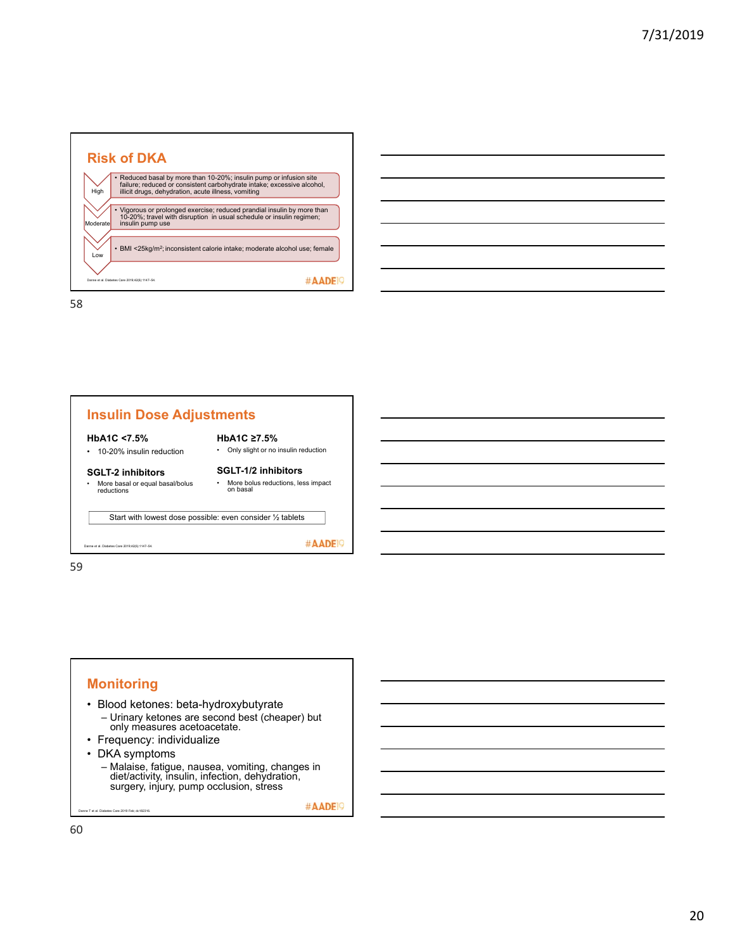

| the control of the control of the control of the control of the control of the control of the control of the control of the control of the control of the control of the control of the control of the control of the control |  |  |
|-------------------------------------------------------------------------------------------------------------------------------------------------------------------------------------------------------------------------------|--|--|
|                                                                                                                                                                                                                               |  |  |
|                                                                                                                                                                                                                               |  |  |
|                                                                                                                                                                                                                               |  |  |
|                                                                                                                                                                                                                               |  |  |





- Blood ketones: beta-hydroxybutyrate – Urinary ketones are second best (cheaper) but only measures acetoacetate.
- Frequency: individualize
- DKA symptoms

ne T et al. Diabetes Care 2019 Feb; dc182316

– Malaise, fatigue, nausea, vomiting, changes in diet/activity, insulin, infection, dehydration, surgery, injury, pump occlusion, stress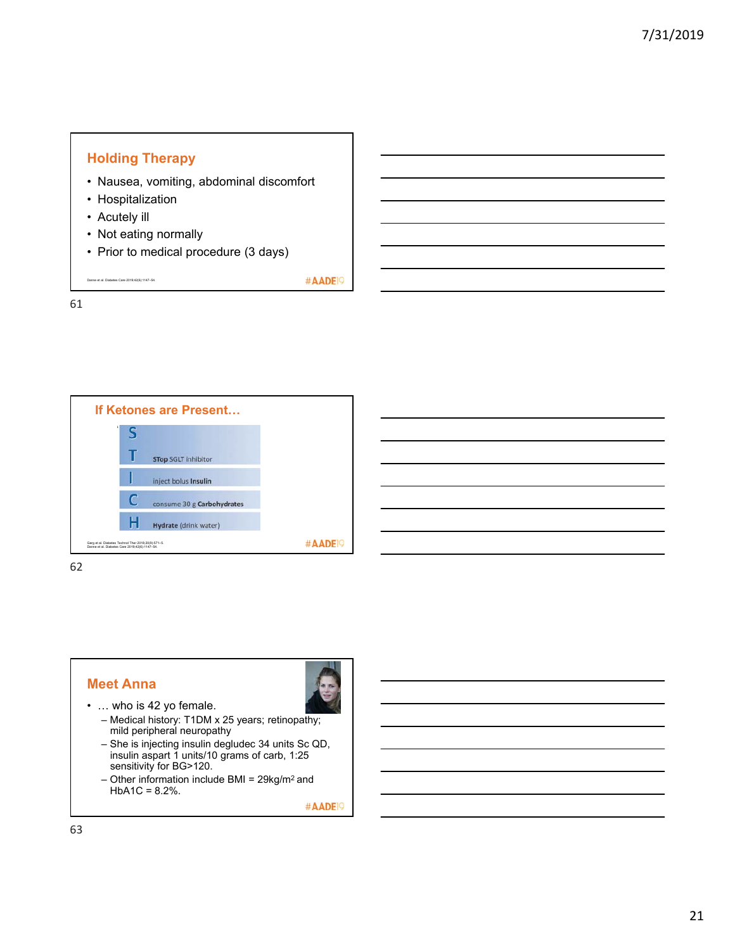



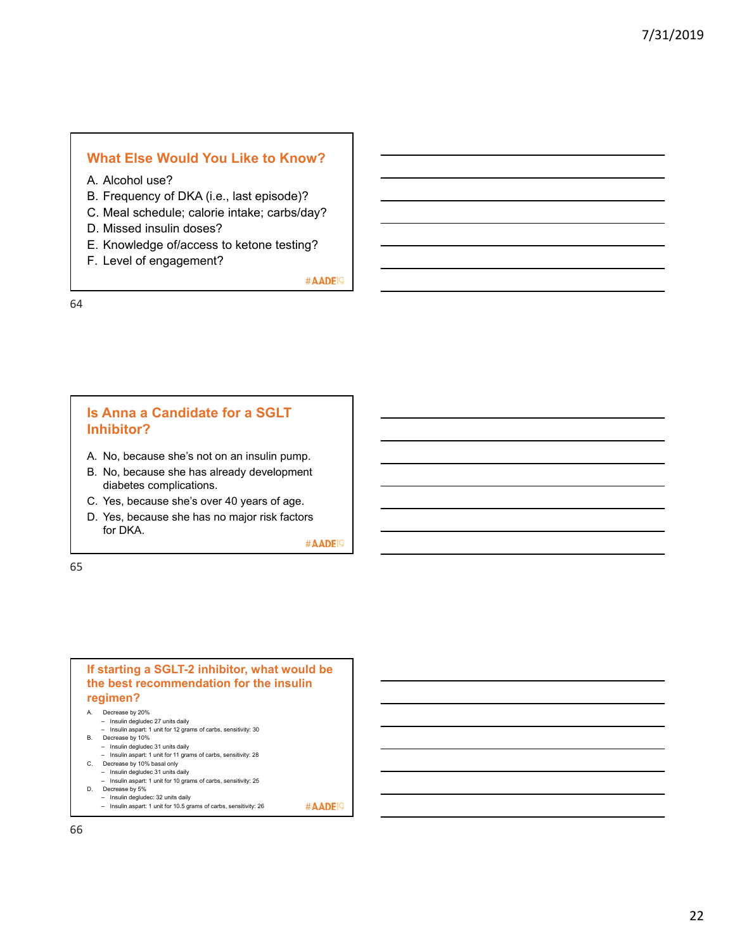#### **What Else Would You Like to Know?**

- A. Alcohol use?
- B. Frequency of DKA (i.e., last episode)?
- C. Meal schedule; calorie intake; carbs/day?
- D. Missed insulin doses?
- E. Knowledge of/access to ketone testing?
- F. Level of engagement?

#AADE<sup>19</sup>

64

#### **Is Anna a Candidate for a SGLT Inhibitor?**

- A. No, because she's not on an insulin pump.
- B. No, because she has already development diabetes complications.
- C. Yes, because she's over 40 years of age.
- D. Yes, because she has no major risk factors for DKA.

#AADE<sup>19</sup>

65

#### **If starting a SGLT-2 inhibitor, what would be the best recommendation for the insulin regimen?**

#### A. Decrease by 20%

- Insulin degludec 27 units daily
- Insulin aspart: 1 unit for 12 grams of carbs, sensitivity: 30 B. Decrease by 10%
- Insulin degludec 31 units daily
- Insulin aspart: 1 unit for 11 grams of carbs, sensitivity: 28 C. Decrease by 10% basal only
- Insulin degludec 31 units daily
- Insulin aspart: 1 unit for 10 grams of carbs, sensitivity: 25
- D. Decrease by 5%
	- Insulin degludec: 32 units daily Insulin aspart: 1 unit for 10.5 grams of carbs, sensitivity: 26 #AADE<sup>19</sup>